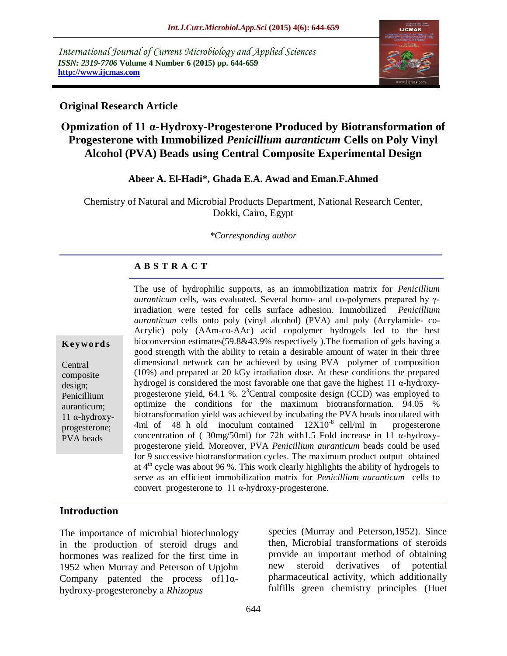*International Journal of Current Microbiology and Applied Sciences ISSN: 2319-7706* **Volume 4 Number 6 (2015) pp. 644-659 http://www.ijcmas.com** 



### **Original Research Article**

# **Opmization of 11 α-Hydroxy-Progesterone Produced by Biotransformation of Progesterone with Immobilized** *Penicillium auranticum* **Cells on Poly Vinyl Alcohol (PVA) Beads using Central Composite Experimental Design**

#### **Abeer A. El-Hadi\*, Ghada E.A. Awad and Eman.F.Ahmed**

Chemistry of Natural and Microbial Products Department, National Research Center, Dokki, Cairo, Egypt

*\*Corresponding author*

#### **A B S T R A C T**

**K eyw o rd s**

Central composite design; Penicillium auranticum; 11 α-hydroxyprogesterone; PVA beads

The use of hydrophilic supports, as an immobilization matrix for *Penicillium auranticum* cells, was evaluated. Several homo- and co-polymers prepared by γirradiation were tested for cells surface adhesion. Immobilized *Penicillium auranticum* cells onto poly (vinyl alcohol) (PVA) and poly (Acrylamide- co-Acrylic) poly (AAm-co-AAc) acid copolymer hydrogels led to the best bioconversion estimates(59.8&43.9% respectively ).The formation of gels having a good strength with the ability to retain a desirable amount of water in their three dimensional network can be achieved by using PVA polymer of composition (10%) and prepared at 20 kGy irradiation dose. At these conditions the prepared hydrogel is considered the most favorable one that gave the highest 11 α-hydroxyprogesterone yield, 64.1 %. 2 <sup>3</sup>Central composite design (CCD) was employed to optimize the conditions for the maximum biotransformation. 94.05 % biotransformation yield was achieved by incubating the PVA beads inoculated with 4ml of 48 h old inoculum contained  $12X10^{-8}$  cell/ml in progesterone concentration of ( 30mg/50ml) for 72h with1.5 Fold increase in 11 α-hydroxyprogesterone yield. Moreover, PVA *Penicillium auranticum* beads could be used for 9 successive biotransformation cycles. The maximum product output obtained at  $4<sup>th</sup>$  cycle was about 96 %. This work clearly highlights the ability of hydrogels to serve as an efficient immobilization matrix for *Penicillium auranticum* cells to convert progesterone to 11 α-hydroxy-progesterone.

### **Introduction**

The importance of microbial biotechnology in the production of steroid drugs and hormones was realized for the first time in 1952 when Murray and Peterson of Upjohn Company patented the process of  $11\alpha$ hydroxy-progesteroneby a *Rhizopus*

species (Murray and Peterson,1952). Since then, Microbial transformations of steroids provide an important method of obtaining new steroid derivatives of potential pharmaceutical activity, which additionally fulfills green chemistry principles (Huet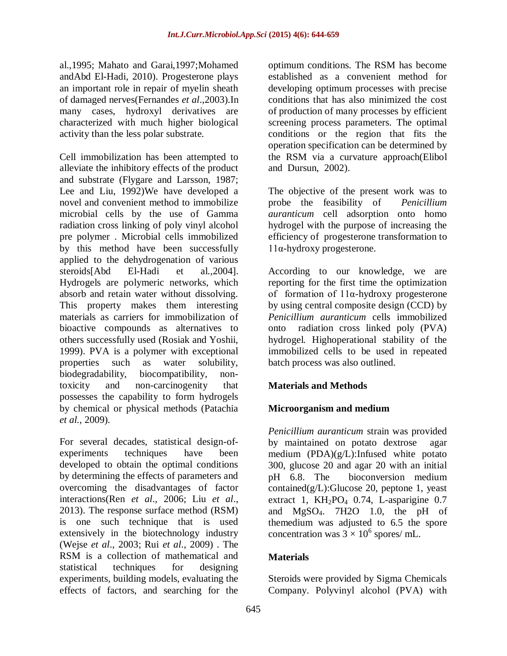al.,1995; Mahato and Garai,1997;Mohamed andAbd El-Hadi, 2010). Progesterone plays an important role in repair of myelin sheath of damaged nerves(Fernandes *et al*.,2003).In many cases, hydroxyl derivatives are characterized with much higher biological activity than the less polar substrate.

Cell immobilization has been attempted to alleviate the inhibitory effects of the product and substrate (Flygare and Larsson, 1987; Lee and Liu, 1992)We have developed a novel and convenient method to immobilize microbial cells by the use of Gamma radiation cross linking of poly vinyl alcohol pre polymer . Microbial cells immobilized by this method have been successfully applied to the dehydrogenation of various steroids[Abd El-Hadi et al.,2004]. Hydrogels are polymeric networks, which absorb and retain water without dissolving. This property makes them interesting materials as carriers for immobilization of bioactive compounds as alternatives to others successfully used (Rosiak and Yoshii, 1999). PVA is a polymer with exceptional properties such as water solubility, biodegradability, biocompatibility, nontoxicity and non-carcinogenity that possesses the capability to form hydrogels by chemical or physical methods (Patachia *et al.,* 2009).

For several decades, statistical design-ofexperiments techniques have been developed to obtain the optimal conditions by determining the effects of parameters and overcoming the disadvantages of factor interactions(Ren *et al*., 2006; Liu *et al*., 2013). The response surface method (RSM) is one such technique that is used extensively in the biotechnology industry (Wejse *et al*., 2003; Rui *et al*., 2009) . The RSM is a collection of mathematical and statistical techniques for designing experiments, building models, evaluating the effects of factors, and searching for the

optimum conditions. The RSM has become established as a convenient method for developing optimum processes with precise conditions that has also minimized the cost of production of many processes by efficient screening process parameters. The optimal conditions or the region that fits the operation specification can be determined by the RSM via a curvature approach(Elibol and Dursun, 2002).

The objective of the present work was to probe the feasibility of *Penicillium auranticum* cell adsorption onto homo hydrogel with the purpose of increasing the efficiency of progesterone transformation to 11α-hydroxy progesterone.

According to our knowledge, we are reporting for the first time the optimization of formation of 11α-hydroxy progesterone by using central composite design (CCD) by *Penicillium auranticum* cells immobilized onto radiation cross linked poly (PVA) hydrogel*.* Highoperational stability of the immobilized cells to be used in repeated batch process was also outlined.

# **Materials and Methods**

### **Microorganism and medium**

*Penicillium auranticum* strain was provided by maintained on potato dextrose agar medium (PDA)(g/L):Infused white potato 300, glucose 20 and agar 20 with an initial pH 6.8. The bioconversion medium contained( $g/L$ ):Glucose 20, peptone 1, yeast extract 1,  $KH_2PO_4$  0.74, L-asparigine 0.7 and MgSO4. 7H2O 1.0, the pH of themedium was adjusted to 6.5 the spore concentration was  $3 \times 10^6$  spores/ mL.

### **Materials**

Steroids were provided by Sigma Chemicals Company. Polyvinyl alcohol (PVA) with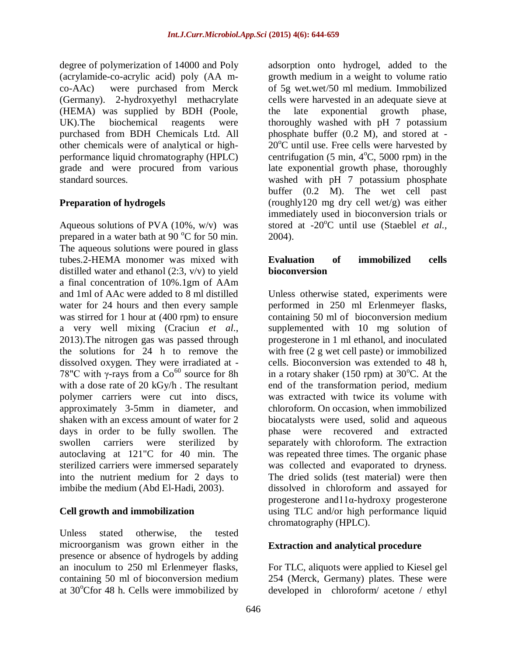degree of polymerization of 14000 and Poly (acrylamide-co-acrylic acid) poly (AA mco-AAc) were purchased from Merck (Germany). 2-hydroxyethyl methacrylate (HEMA) was supplied by BDH (Poole, UK).The biochemical reagents were purchased from BDH Chemicals Ltd. All other chemicals were of analytical or highperformance liquid chromatography (HPLC) grade and were procured from various standard sources.

### **Preparation of hydrogels**

Aqueous solutions of PVA  $(10\%, w/v)$  was prepared in a water bath at 90  $^{\circ}$ C for 50 min. The aqueous solutions were poured in glass tubes.2-HEMA monomer was mixed with distilled water and ethanol (2:3, v/v) to yield a final concentration of 10%.1gm of AAm and 1ml of AAc were added to 8 ml distilled water for 24 hours and then every sample was stirred for 1 hour at (400 rpm) to ensure a very well mixing (Craciun *et al*., 2013).The nitrogen gas was passed through the solutions for 24 h to remove the dissolved oxygen. They were irradiated at - 78"C with  $\gamma$ -rays from a Co<sup>60</sup> source for 8h with a dose rate of 20 kGy/h . The resultant polymer carriers were cut into discs, approximately 3-5mm in diameter, and shaken with an excess amount of water for 2 days in order to be fully swollen. The swollen carriers were sterilized by autoclaving at 121"C for 40 min. The sterilized carriers were immersed separately into the nutrient medium for 2 days to imbibe the medium (Abd El-Hadi, 2003).

#### **Cell growth and immobilization**

Unless stated otherwise, the tested microorganism was grown either in the presence or absence of hydrogels by adding an inoculum to 250 ml Erlenmeyer flasks, containing 50 ml of bioconversion medium at  $30^{\circ}$ Cfor 48 h. Cells were immobilized by

adsorption onto hydrogel, added to the growth medium in a weight to volume ratio of 5g wet.wet/50 ml medium. Immobilized cells were harvested in an adequate sieve at the late exponential growth phase, thoroughly washed with pH 7 potassium phosphate buffer (0.2 M), and stored at -  $20^{\circ}$ C until use. Free cells were harvested by centrifugation (5 min,  $4^{\circ}$ C, 5000 rpm) in the late exponential growth phase, thoroughly washed with pH 7 potassium phosphate buffer (0.2 M). The wet cell past (roughly120 mg dry cell wet/g) was either immediately used in bioconversion trials or stored at -20<sup>o</sup>C until use (Staeblel *et al.,* 2004).

### **Evaluation of immobilized cells bioconversion**

Unless otherwise stated, experiments were performed in 250 ml Erlenmeyer flasks, containing 50 ml of bioconversion medium supplemented with 10 mg solution of progesterone in 1 ml ethanol, and inoculated with free (2 g wet cell paste) or immobilized cells. Bioconversion was extended to 48 h, in a rotary shaker (150 rpm) at  $30^{\circ}$ C. At the end of the transformation period, medium was extracted with twice its volume with chloroform. On occasion, when immobilized biocatalysts were used, solid and aqueous phase were recovered and extracted separately with chloroform. The extraction was repeated three times. The organic phase was collected and evaporated to dryness. The dried solids (test material) were then dissolved in chloroform and assayed for progesterone and11α-hydroxy progesterone using TLC and/or high performance liquid chromatography (HPLC).

#### **Extraction and analytical procedure**

For TLC, aliquots were applied to Kiesel gel 254 (Merck, Germany) plates. These were developed in chloroform/ acetone / ethyl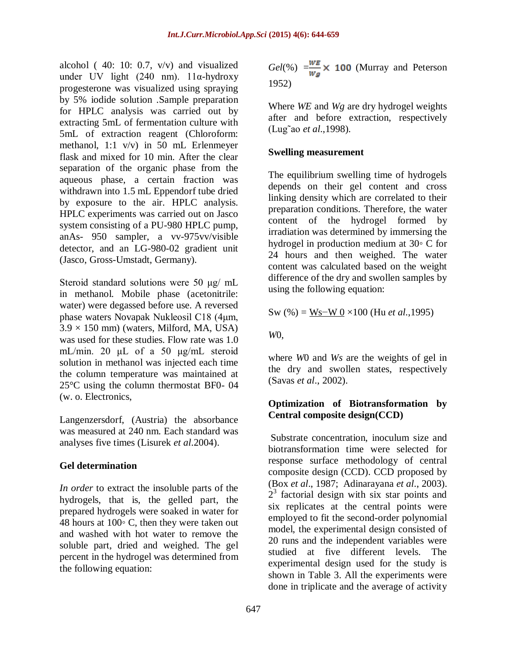alcohol ( 40: 10: 0.7, v/v) and visualized under UV light (240 nm). 11α-hydroxy progesterone was visualized using spraying by 5% iodide solution .Sample preparation for HPLC analysis was carried out by extracting 5mL of fermentation culture with 5mL of extraction reagent (Chloroform: methanol, 1:1 v/v) in 50 mL Erlenmeyer flask and mixed for 10 min. After the clear separation of the organic phase from the aqueous phase, a certain fraction was withdrawn into 1.5 mL Eppendorf tube dried by exposure to the air. HPLC analysis. HPLC experiments was carried out on Jasco system consisting of a PU-980 HPLC pump, anAs- 950 sampler, a vv-975vv/visible detector, and an LG-980-02 gradient unit (Jasco, Gross-Umstadt, Germany).

Steroid standard solutions were 50 μg/ mL in methanol. Mobile phase (acetonitrile: water) were degassed before use. A reversed phase waters Novapak Nukleosil C18 (4μm,  $3.9 \times 150$  mm) (waters, Milford, MA, USA) was used for these studies. Flow rate was 1.0 mL/min. 20 μL of a 50 μg/mL steroid solution in methanol was injected each time the column temperature was maintained at 25°C using the column thermostat BF0- 04 (w. o. Electronics,

Langenzersdorf, (Austria) the absorbance was measured at 240 nm. Each standard was analyses five times (Lisurek *et al*.2004).

# **Gel determination**

*In order* to extract the insoluble parts of the hydrogels, that is, the gelled part, the prepared hydrogels were soaked in water for 48 hours at 100*◦* C, then they were taken out and washed with hot water to remove the soluble part, dried and weighed. The gel percent in the hydrogel was determined from the following equation:

 $Gel(\%) = \frac{WE}{Wg} \times 100$  (Murray and Peterson 1952)

Where *WE* and *Wg* are dry hydrogel weights after and before extraction, respectively (Lug˜ao *et al*.,1998).

### **Swelling measurement**

The equilibrium swelling time of hydrogels depends on their gel content and cross linking density which are correlated to their preparation conditions. Therefore, the water content of the hydrogel formed by irradiation was determined by immersing the hydrogel in production medium at 30*◦* C for 24 hours and then weighed. The water content was calculated based on the weight difference of the dry and swollen samples by using the following equation:

$$
Sw(%) = Ws-W0 \times 100 \ (Hu \ et \ al., 1995)
$$

*W*0,

where *W*0 and *Ws* are the weights of gel in the dry and swollen states, respectively (Savas *et al*., 2002).

### **Optimization of Biotransformation by Central composite design(CCD)**

Substrate concentration, inoculum size and biotransformation time were selected for response surface methodology of central composite design (CCD). CCD proposed by (Box *et al*., 1987; Adinarayana *et al*., 2003).  $2<sup>3</sup>$  factorial design with six star points and six replicates at the central points were employed to fit the second-order polynomial model, the experimental design consisted of 20 runs and the independent variables were studied at five different levels. The experimental design used for the study is shown in Table 3. All the experiments were done in triplicate and the average of activity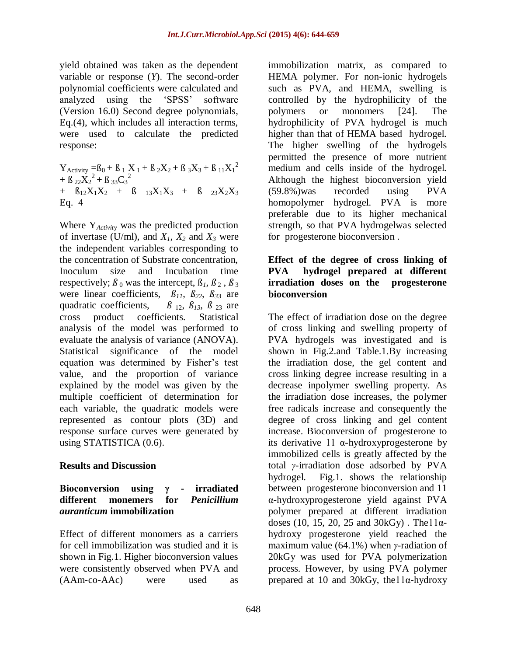yield obtained was taken as the dependent variable or response (*Y*). The second-order polynomial coefficients were calculated and analyzed using the 'SPSS' software (Version 16.0) Second degree polynomials, Eq.(4), which includes all interaction terms, were used to calculate the predicted response:

 $Y_{\text{Activity}} = B_0 + B_1 X_1 + B_2 X_2 + B_3 X_3 + B_{11} X_1^2$ +  $\beta_{22}\dot{X}_2^2 + \beta_{33}C_3^2$ +  $B_{12}X_1X_2$  +  $B_{13}X_1X_3$  +  $B_{23}X_2X_3$ Eq. 4

Where Y*Activit*<sup>y</sup> was the predicted production of invertase (U/ml), and  $X_1$ ,  $X_2$  and  $X_3$  were the independent variables corresponding to the concentration of Substrate concentration, Inoculum size and Incubation time respectively;  $\beta_0$  was the intercept,  $\beta_1$ ,  $\beta_2$ ,  $\beta_3$ were linear coefficients,  $\beta_{11}$ ,  $\beta_{22}$ ,  $\beta_{33}$  are quadratic coefficients,  $\beta_{12}$ ,  $\beta_{13}$ ,  $\beta_{23}$  are cross product coefficients. Statistical analysis of the model was performed to evaluate the analysis of variance (ANOVA). Statistical significance of the model equation was determined by Fisher's test value, and the proportion of variance explained by the model was given by the multiple coefficient of determination for each variable, the quadratic models were represented as contour plots (3D) and response surface curves were generated by using STATISTICA (0.6).

#### **Results and Discussion**

#### **Bioconversion using γ - irradiated different monemers for** *Penicillium auranticum* **immobilization**

Effect of different monomers as a carriers for cell immobilization was studied and it is shown in Fig.1. Higher bioconversion values were consistently observed when PVA and (AAm-co-AAc) were used as immobilization matrix, as compared to HEMA polymer. For non-ionic hydrogels such as PVA, and HEMA, swelling is controlled by the hydrophilicity of the polymers or monomers [24]. The hydrophilicity of PVA hydrogel is much higher than that of HEMA based hydrogel. The higher swelling of the hydrogels permitted the presence of more nutrient medium and cells inside of the hydrogel. Although the highest bioconversion yield (59.8%)was recorded using PVA homopolymer hydrogel. PVA is more preferable due to its higher mechanical strength, so that PVA hydrogelwas selected for progesterone bioconversion .

#### **Effect of the degree of cross linking of PVA hydrogel prepared at different irradiation doses on the progesterone bioconversion**

The effect of irradiation dose on the degree of cross linking and swelling property of PVA hydrogels was investigated and is shown in Fig.2.and Table.1.By increasing the irradiation dose, the gel content and cross linking degree increase resulting in a decrease inpolymer swelling property. As the irradiation dose increases, the polymer free radicals increase and consequently the degree of cross linking and gel content increase. Bioconversion of progesterone to its derivative 11  $\alpha$ -hydroxyprogesterone by immobilized cells is greatly affected by the total *γ*-irradiation dose adsorbed by PVA hydrogel. Fig.1. shows the relationship between progesterone bioconversion and 11 α-hydroxyprogesterone yield against PVA polymer prepared at different irradiation doses (10, 15, 20, 25 and 30kGy). The  $11α$ hydroxy progesterone yield reached the maximum value (64.1%) when *γ*-radiation of 20kGy was used for PVA polymerization process. However, by using PVA polymer prepared at 10 and 30kGy, the  $11\alpha$ -hydroxy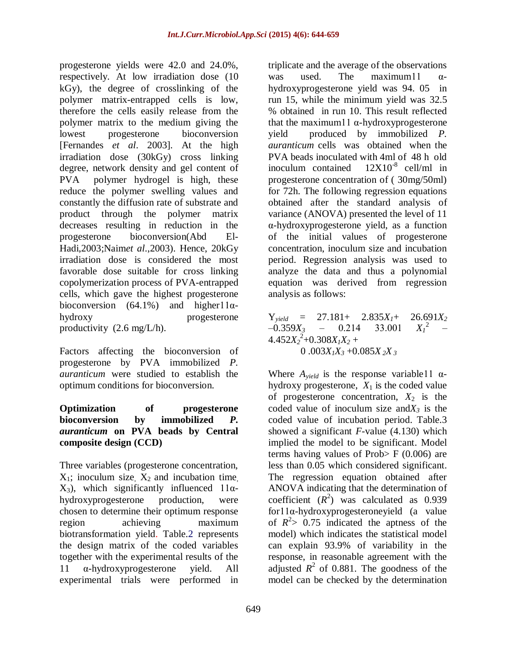progesterone yields were 42.0 and 24.0%, respectively. At low irradiation dose (10 kGy), the degree of crosslinking of the polymer matrix-entrapped cells is low, therefore the cells easily release from the polymer matrix to the medium giving the lowest progesterone bioconversion [Fernandes *et al*. 2003]. At the high irradiation dose (30kGy) cross linking degree, network density and gel content of PVA polymer hydrogel is high, these reduce the polymer swelling values and constantly the diffusion rate of substrate and product through the polymer matrix decreases resulting in reduction in the progesterone bioconversion(Abd El-Hadi,2003;Naim*et al*.,2003). Hence, 20kGy irradiation dose is considered the most favorable dose suitable for cross linking copolymerization process of PVA-entrapped cells, which gave the highest progesterone bioconversion (64.1%) and higher11 $\alpha$ hydroxy progesterone productivity  $(2.6 \text{ mg/L/h})$ .

Factors affecting the bioconversion of progesterone by PVA immobilized *P. auranticum* were studied to establish the optimum conditions for bioconversion.

#### **Optimization of progesterone bioconversion by immobilized** *P. auranticum* **on PVA beads by Central composite design (CCD)**

Three variables (progesterone concentration,  $X_1$ ; inoculum size,  $X_2$  and incubation time.  $X_3$ ), which significantly influenced 11αhydroxyprogesterone production, were chosen to determine their optimum response region achieving maximum biotransformation yield. Table.2 represents the design matrix of the coded variables together with the experimental results of the 11 α-hydroxyprogesterone yield. All experimental trials were performed in

triplicate and the average of the observations was used. The maximum11  $\alpha$ hydroxyprogesterone yield was 94. 05 in run 15, while the minimum yield was 32.5 % obtained in run 10. This result reflected that the maximum11  $α$ -hydroxyprogesterone yield produced by immobilized *P. auranticum* cells was obtained when the PVA beads inoculated with 4ml of 48 h old inoculum contained  $12X10^{-8}$  cell/ml in progesterone concentration of ( 30mg/50ml) for 72h. The following regression equations obtained after the standard analysis of variance (ANOVA) presented the level of 11 α-hydroxyprogesterone yield, as a function of the initial values of progesterone concentration, inoculum size and incubation period. Regression analysis was used to analyze the data and thus a polynomial equation was derived from regression analysis as follows:

 $Y_{yield}$  = 27.181+ 2.835 $X_1$ + 26.691 $X_2$ <br>-0.359 $X_3$  - 0.214 33.001  $X_1^2$  - $-0.359X_3 - 0.214$ <sup>2</sup>  $4.452X_2^2+0.308X_1X_2+$ 0 .003*X1X<sup>3</sup>* +0.085*X <sup>2</sup>X <sup>3</sup>*

Where  $A_{yield}$  is the response variable11  $\alpha$ hydroxy progesterone,  $X_1$  is the coded value of progesterone concentration,  $X_2$  is the coded value of inoculum size and $X_3$  is the coded value of incubation period. Table.3 showed a significant *F*-value (4.130) which implied the model to be significant. Model terms having values of Prob> F (0.006) are less than 0.05 which considered significant. The regression equation obtained after ANOVA indicating that the determination of coefficient  $(R^2)$  was calculated as 0.939 for11α-hydroxyprogesteroneyield (a value of  $R^2$  > 0.75 indicated the aptness of the model) which indicates the statistical model can explain 93.9% of variability in the response, in reasonable agreement with the adjusted  $R^2$  of 0.881. The goodness of the model can be checked by the determination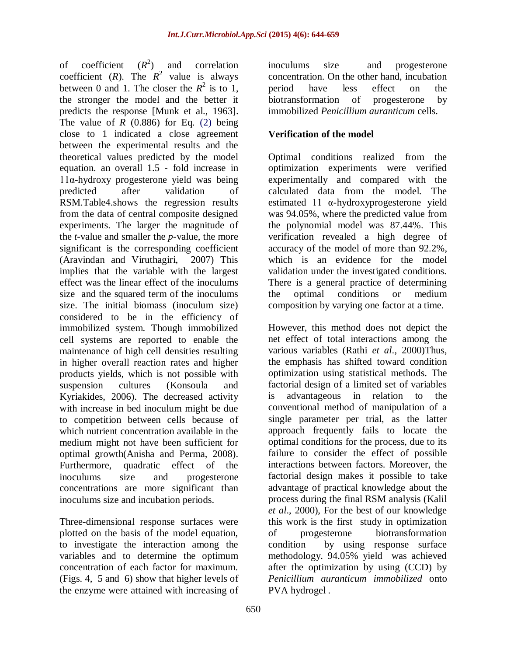of coefficient (*R*  $(R^2)$ ) and correlation coefficient (*R*). The  $R^2$  value is always between 0 and 1. The closer the  $R^2$  is to 1, the stronger the model and the better it predicts the response [Munk et al., 1963]. The value of  $R$  (0.886) for Eq. (2) being close to 1 indicated a close agreement between the experimental results and the theoretical values predicted by the model equation. an overall 1.5 - fold increase in 11α-hydroxy progesterone yield was being predicted after validation of RSM.Table4.shows the regression results from the data of central composite designed experiments. The larger the magnitude of the *t*-value and smaller the *p*-value, the more significant is the corresponding coefficient (Aravindan and Viruthagiri, 2007) This implies that the variable with the largest effect was the linear effect of the inoculums size and the squared term of the inoculums size. The initial biomass (inoculum size) considered to be in the efficiency of immobilized system. Though immobilized cell systems are reported to enable the maintenance of high cell densities resulting in higher overall reaction rates and higher products yields, which is not possible with suspension cultures (Konsoula and Kyriakides, 2006). The decreased activity with increase in bed inoculum might be due to competition between cells because of which nutrient concentration available in the medium might not have been sufficient for optimal growth(Anisha and Perma, 2008). Furthermore, quadratic effect of the inoculums size and progesterone concentrations are more significant than inoculums size and incubation periods.

Three-dimensional response surfaces were plotted on the basis of the model equation, to investigate the interaction among the variables and to determine the optimum concentration of each factor for maximum. (Figs. 4, 5 and 6) show that higher levels of the enzyme were attained with increasing of

inoculums size and progesterone concentration. On the other hand, incubation period have less effect on the biotransformation of progesterone by immobilized *Penicillium auranticum* cells.

## **Verification of the model**

Optimal conditions realized from the optimization experiments were verified experimentally and compared with the calculated data from the model. The estimated 11 α-hydroxyprogesterone yield was 94.05%, where the predicted value from the polynomial model was 87.44%. This verification revealed a high degree of accuracy of the model of more than 92.2%, which is an evidence for the model validation under the investigated conditions. There is a general practice of determining the optimal conditions or medium composition by varying one factor at a time.

However, this method does not depict the net effect of total interactions among the various variables (Rathi *et al*., 2000)Thus, the emphasis has shifted toward condition optimization using statistical methods. The factorial design of a limited set of variables is advantageous in relation to the conventional method of manipulation of a single parameter per trial, as the latter approach frequently fails to locate the optimal conditions for the process, due to its failure to consider the effect of possible interactions between factors. Moreover, the factorial design makes it possible to take advantage of practical knowledge about the process during the final RSM analysis (Kalil *et al*., 2000), For the best of our knowledge this work is the first study in optimization of progesterone biotransformation condition by using response surface methodology. 94.05% yield was achieved after the optimization by using (CCD) by *Penicillium auranticum immobilized* onto PVA hydrogel *.*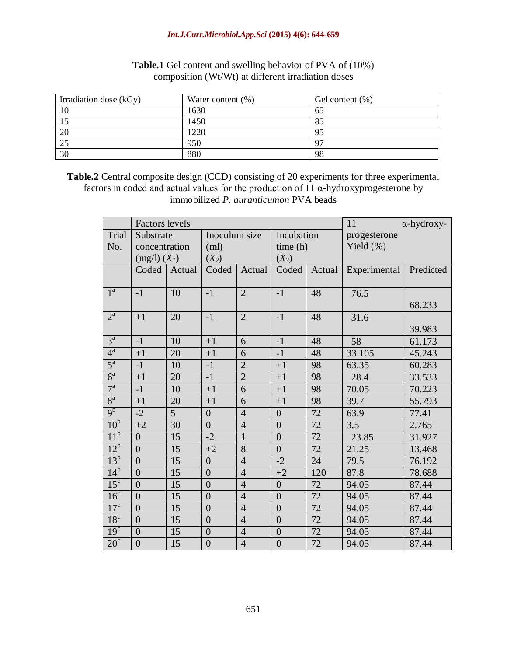#### *Int.J.Curr.Microbiol.App.Sci* **(2015) 4(6): 644-659**

| Irradiation dose (kGy) | Water content $(\%)$ | Gel content $(\%)$ |
|------------------------|----------------------|--------------------|
|                        | 1630                 | 65                 |
| IJ                     | 1450                 | 85                 |
| 20                     | 1220                 | 95                 |
| 25                     | 950                  | 97                 |
| 30                     | 880                  | 98                 |

### **Table.1** Gel content and swelling behavior of PVA of (10%) composition (Wt/Wt) at different irradiation doses

**Table.2** Central composite design (CCD) consisting of 20 experiments for three experimental factors in coded and actual values for the production of 11  $\alpha$ -hydroxyprogesterone by immobilized *P. auranticumon* PVA beads

|                               | <b>Factors</b> levels |        |                |                |                  | 11     | $\alpha$ -hydroxy- |           |
|-------------------------------|-----------------------|--------|----------------|----------------|------------------|--------|--------------------|-----------|
| Trial                         | Substrate             |        | Inoculum size  |                | Incubation       |        | progesterone       |           |
| No.                           | concentration         |        | (ml)           |                | time(h)          |        | Yield $(\% )$      |           |
|                               | $(mg/l)$ $(XI)$       |        | $(X_2)$        |                | $(X_3)$          |        |                    |           |
|                               | Coded                 | Actual | Coded          | Actual         | Coded            | Actual | Experimental       | Predicted |
| $1^{\mathrm{a}}$              | $-1$                  | 10     | $-1$           | $\overline{2}$ | $-1$             | 48     | 76.5               |           |
|                               |                       |        |                |                |                  |        |                    | 68.233    |
| $2^{\mathrm{a}}$              | $+1$                  | 20     | $-1$           | $\overline{2}$ | $-1$             | 48     | 31.6               |           |
|                               |                       |        |                |                |                  |        |                    | 39.983    |
| $3^a$                         | $-1$                  | 10     | $+1$           | 6              | $-1$             | 48     | 58                 | 61.173    |
| $4^a$                         | $+1$                  | 20     | $+1$           | 6              | $-1$             | 48     | 33.105             | 45.243    |
| $5^{\mathrm{a}}$              | $-1$                  | 10     | $-1$           | $\overline{2}$ | $+1$             | 98     | 63.35              | 60.283    |
| $\overline{6}^{\overline{a}}$ | $+1$                  | 20     | $-1$           | $\overline{2}$ | $+1$             | 98     | 28.4               | 33.533    |
| $7^{\mathrm{a}}$              | $-1$                  | 10     | $+1$           | 6              | $+1$             | 98     | 70.05              | 70.223    |
| $8^{\mathrm{a}}$              | $+1$                  | 20     | $+1$           | 6              | $+1$             | 98     | 39.7               | 55.793    |
| 9 <sup>b</sup>                | $-2$                  | 5      | $\overline{0}$ | $\overline{4}$ | $\overline{0}$   | 72     | 63.9               | 77.41     |
| 10 <sup>b</sup>               | $+2$                  | 30     | $\overline{0}$ | $\overline{4}$ | $\boldsymbol{0}$ | 72     | 3.5                | 2.765     |
| 11 <sup>b</sup>               | $\overline{0}$        | 15     | $-2$           | $\mathbf{1}$   | $\boldsymbol{0}$ | 72     | 23.85              | 31.927    |
| $12^b$                        | $\overline{0}$        | 15     | $+2$           | 8              | $\overline{0}$   | 72     | 21.25              | 13.468    |
| $13^b$                        | $\overline{0}$        | 15     | $\overline{0}$ | $\overline{4}$ | $-2$             | 24     | 79.5               | 76.192    |
| $14^b$                        | $\overline{0}$        | 15     | $\overline{0}$ | $\overline{4}$ | $+2$             | 120    | 87.8               | 78.688    |
| 15 <sup>c</sup>               | $\overline{0}$        | 15     | $\overline{0}$ | $\overline{4}$ | $\overline{0}$   | 72     | 94.05              | 87.44     |
| 16 <sup>c</sup>               | $\overline{0}$        | 15     | $\overline{0}$ | $\overline{4}$ | $\overline{0}$   | 72     | 94.05              | 87.44     |
| 17 <sup>c</sup>               | $\overline{0}$        | 15     | $\overline{0}$ | $\overline{4}$ | $\overline{0}$   | 72     | 94.05              | 87.44     |
| 18 <sup>c</sup>               | $\overline{0}$        | 15     | $\overline{0}$ | $\overline{4}$ | $\overline{0}$   | 72     | 94.05              | 87.44     |
| 19 <sup>c</sup>               | $\boldsymbol{0}$      | 15     | $\overline{0}$ | $\overline{4}$ | $\boldsymbol{0}$ | $72\,$ | 94.05              | 87.44     |
| $20^{\circ}$                  | $\overline{0}$        | 15     | $\overline{0}$ | $\overline{4}$ | $\overline{0}$   | 72     | 94.05              | 87.44     |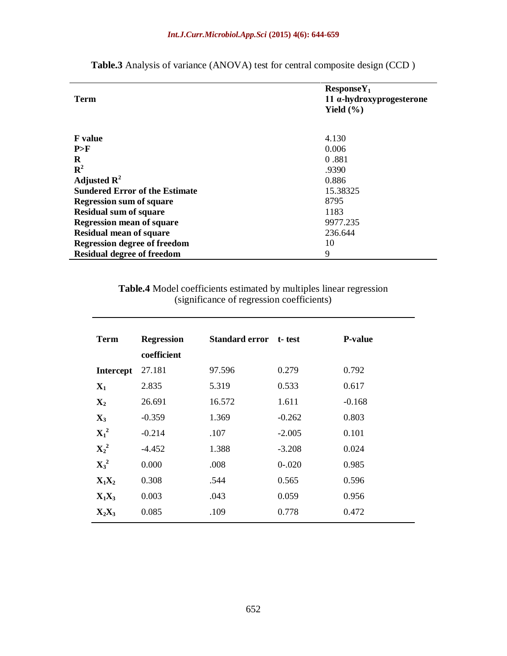| <b>Term</b>                           | $ResposeY_1$<br>11 $α$ -hydroxyprogesterone |  |  |
|---------------------------------------|---------------------------------------------|--|--|
|                                       | Yield $(\% )$                               |  |  |
| <b>F</b> value                        | 4.130                                       |  |  |
| P>F                                   | 0.006                                       |  |  |
| R                                     | 0.881                                       |  |  |
| ${\bf R}^2$                           | .9390                                       |  |  |
| Adjusted $\mathbf{R}^2$               | 0.886                                       |  |  |
| <b>Sundered Error of the Estimate</b> | 15.38325                                    |  |  |
| <b>Regression sum of square</b>       | 8795                                        |  |  |
| <b>Residual sum of square</b>         | 1183                                        |  |  |
| <b>Regression mean of square</b>      | 9977.235                                    |  |  |
| <b>Residual mean of square</b>        | 236.644                                     |  |  |
| <b>Regression degree of freedom</b>   | 10                                          |  |  |
| <b>Residual degree of freedom</b>     | 9                                           |  |  |

**Table.3** Analysis of variance (ANOVA) test for central composite design (CCD )

**Table.4** Model coefficients estimated by multiples linear regression (significance of regression coefficients)

| <b>Term</b>      | <b>Regression</b><br>coefficient | <b>Standard error</b> | t-test    | <b>P-value</b> |
|------------------|----------------------------------|-----------------------|-----------|----------------|
| <b>Intercept</b> | 27.181                           | 97.596                | 0.279     | 0.792          |
| $\mathbf{X}_1$   | 2.835                            | 5.319                 | 0.533     | 0.617          |
| $\mathbf{X}_2$   | 26.691                           | 16.572                | 1.611     | $-0.168$       |
| $\mathbf{X}_3$   | $-0.359$                         | 1.369                 | $-0.262$  | 0.803          |
| $X_1^2$          | $-0.214$                         | .107                  | $-2.005$  | 0.101          |
| $\mathbf{X_2}^2$ | $-4.452$                         | 1.388                 | $-3.208$  | 0.024          |
| $\mathbf{X_3}^2$ | 0.000                            | .008                  | $0 - 020$ | 0.985          |
| $X_1X_2$         | 0.308                            | .544                  | 0.565     | 0.596          |
| $X_1X_3$         | 0.003                            | .043                  | 0.059     | 0.956          |
| $X_2X_3$         | 0.085                            | .109                  | 0.778     | 0.472          |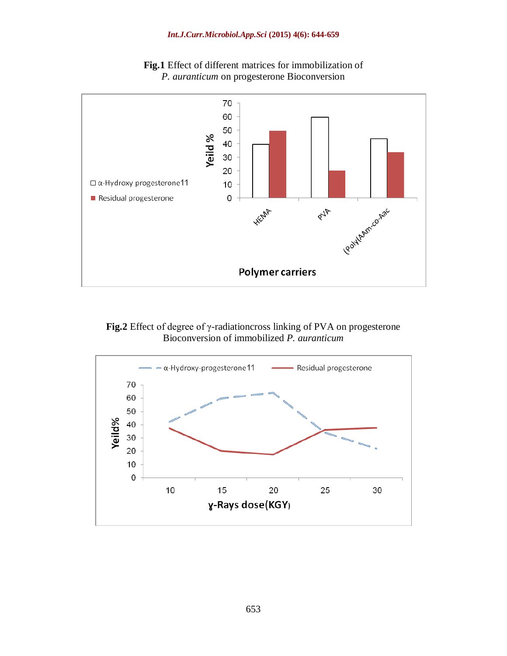

**Fig.1** Effect of different matrices for immobilization of *P. auranticum* on progesterone Bioconversion

**Fig.2** Effect of degree of γ-radiationcross linking of PVA on progesterone Bioconversion of immobilized *P. auranticum*

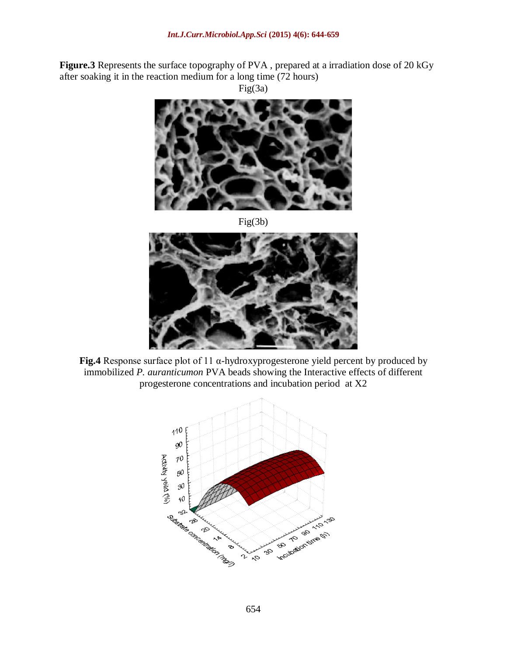**Figure.3** Represents the surface topography of PVA , prepared at a irradiation dose of 20 kGy after soaking it in the reaction medium for a long time (72 hours) Fig(3a)



Fig(3b)



**Fig.4** Response surface plot of 11 α-hydroxyprogesterone yield percent by produced by immobilized *P. auranticumon* PVA beads showing the Interactive effects of different progesterone concentrations and incubation period at X2

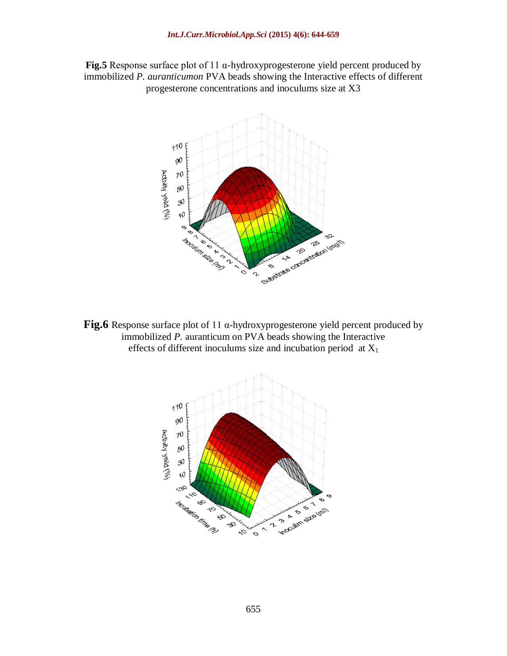



**Fig.6** Response surface plot of 11 α-hydroxyprogesterone yield percent produced by immobilized *P*. auranticum on PVA beads showing the Interactive effects of different inoculums size and incubation period at  $X_1$ 

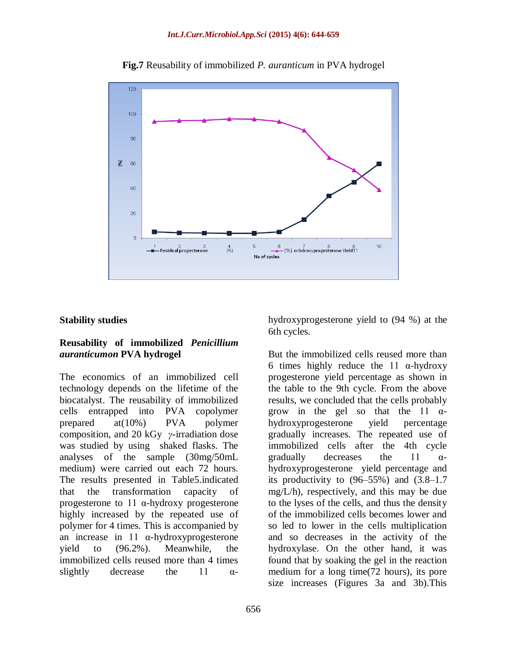

**Fig.7** Reusability of immobilized *P. auranticum* in PVA hydrogel

### **Stability studies**

### **Reusability of immobilized** *Penicillium auranticumon* **PVA hydrogel**

The economics of an immobilized cell technology depends on the lifetime of the biocatalyst. The reusability of immobilized cells entrapped into PVA copolymer prepared at(10%) PVA polymer composition, and 20 kGy *γ*-irradiation dose was studied by using shaked flasks. The analyses of the sample (30mg/50mL medium) were carried out each 72 hours. The results presented in Table5.indicated that the transformation capacity of progesterone to 11 α-hydroxy progesterone highly increased by the repeated use of polymer for 4 times. This is accompanied by an increase in 11  $\alpha$ -hydroxyprogesterone yield to (96.2%). Meanwhile, the immobilized cells reused more than 4 times slightly decrease the 11  $\alpha$ - hydroxyprogesterone yield to (94 %) at the 6th cycles.

But the immobilized cells reused more than 6 times highly reduce the 11  $\alpha$ -hydroxy progesterone yield percentage as shown in the table to the 9th cycle. From the above results, we concluded that the cells probably grow in the gel so that the 11  $\alpha$ hydroxyprogesterone yield percentage gradually increases. The repeated use of immobilized cells after the 4th cycle eradually decreases the 11  $\alpha$ hydroxyprogesterone yield percentage and its productivity to  $(96-55%)$  and  $(3.8-1.7)$ mg/L/h), respectively, and this may be due to the lyses of the cells, and thus the density of the immobilized cells becomes lower and so led to lower in the cells multiplication and so decreases in the activity of the hydroxylase. On the other hand, it was found that by soaking the gel in the reaction medium for a long time(72 hours), its pore size increases (Figures 3a and 3b).This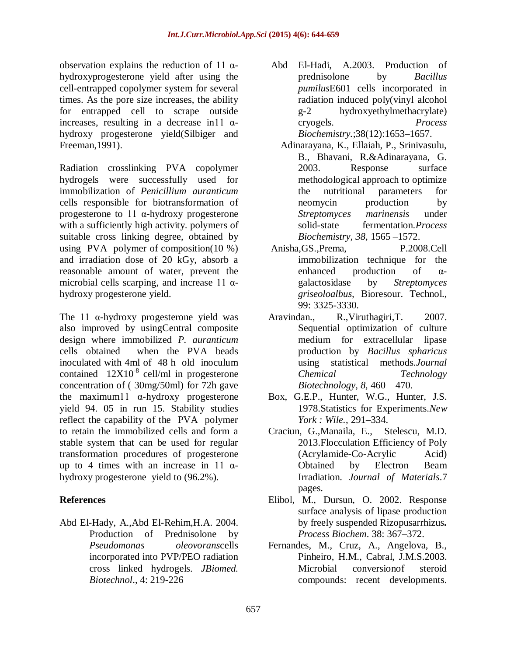observation explains the reduction of 11 αhydroxyprogesterone yield after using the cell-entrapped copolymer system for several times. As the pore size increases, the ability for entrapped cell to scrape outside increases, resulting in a decrease in  $11 \alpha$ hydroxy progesterone yield(Silbiger and Freeman,1991).

Radiation crosslinking PVA copolymer hydrogels were successfully used for immobilization of *Penicillium auranticum*  cells responsible for biotransformation of progesterone to 11 α-hydroxy progesterone with a sufficiently high activity. polymers of suitable cross linking degree, obtained by using PVA polymer of composition(10 %) and irradiation dose of 20 kGy, absorb a reasonable amount of water, prevent the microbial cells scarping, and increase 11  $\alpha$ hydroxy progesterone yield.

The 11  $\alpha$ -hydroxy progesterone yield was also improved by usingCentral composite design where immobilized *P. auranticum* cells obtained when the PVA beads inoculated with 4ml of 48 h old inoculum contained  $12X10^{-8}$  cell/ml in progesterone concentration of ( 30mg/50ml) for 72h gave the maximum11 α-hydroxy progesterone yield 94. 05 in run 15. Stability studies reflect the capability of the PVA polymer to retain the immobilized cells and form a stable system that can be used for regular transformation procedures of progesterone up to 4 times with an increase in 11  $\alpha$ hydroxy progesterone yield to (96.2%).

### **References**

Abd El-Hady, A.,Abd El-Rehim,H.A. 2004. Production of Prednisolone by *Pseudomonas oleovorans*cells incorporated into PVP/PEO radiation cross linked hydrogels. *JBiomed. Biotechnol*., 4: 219-226

- Abd El-Hadi, A.2003. Production of prednisolone by *Bacillus pumilus*E601 cells incorporated in radiation induced poly(vinyl alcohol g-2 hydroxyethylmethacrylate) cryogels. *Process Biochemistry.*;38(12):1653–1657.
- Adinarayana, K., Ellaiah, P., Srinivasulu, B., Bhavani, R.&Adinarayana, G. 2003. Response surface methodological approach to optimize the nutritional parameters for neomycin production by *Streptomyces marinensis* under solid-state fermentation.*Process Biochemistry, 38*, 1565 –1572.
- Anisha,GS.,Prema, P.2008.Cell immobilization technique for the enhanced production of αgalactosidase by *Streptomyces griseoloalbus,* Bioresour. Technol., 99: 3325-3330.
- Aravindan., R.,Viruthagiri,T. 2007. Sequential optimization of culture medium for extracellular lipase production by *Bacillus spharicus* using statistical methods*.Journal Chemical Technology Biotechnology, 8,* 460 – 470.
- Box, G.E.P., Hunter, W.G., Hunter, J.S. 1978.Statistics for Experiments.*New York : Wile.*, 291–334.
- Craciun, G.,Manaila, E., Stelescu, M.D. 2013.Flocculation Efficiency of Poly (Acrylamide-Co-Acrylic Acid) Obtained by Electron Beam Irradiation. *Journal of Materials*.7 pages.
- Elibol, M., Dursun, O. 2002. Response surface analysis of lipase production by freely suspended Rizopusarrhizus*. Process Biochem*. 38: 367–372.
- Fernandes, M., Cruz, A., Angelova, B., Pinheiro, H.M., Cabral, J.M.S.2003. Microbial conversionof steroid compounds: recent developments.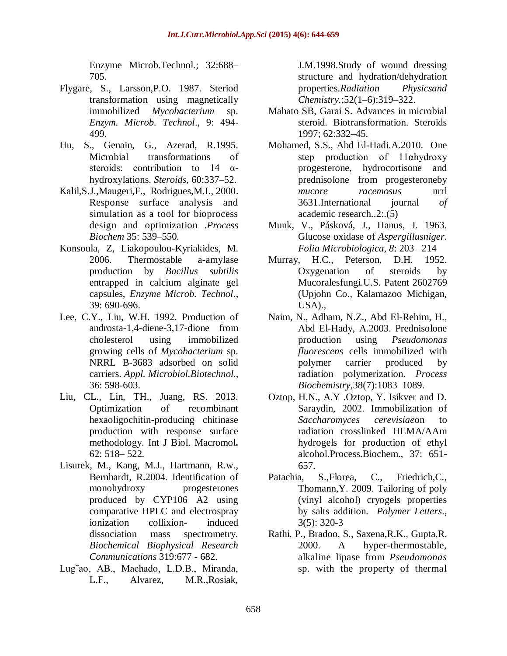Enzyme Microb.Technol.; 32:688– 705.

- Flygare, S., Larsson,P.O. 1987. Steriod transformation using magnetically immobilized *Mycobacterium* sp. *Enzym. Microb. Technol*., 9: 494- 499.
- Hu, S., Genain, G., Azerad, R.1995. Microbial transformations of steroids: contribution to 14  $\alpha$ hydroxylations. *Steroids,* 60:337–52.
- Kalil,S.J.,Maugeri,F., Rodrigues,M.I., 2000. Response surface analysis and simulation as a tool for bioprocess design and optimization .*Process Biochem* 35: 539–550.
- Konsoula, Z, Liakopoulou-Kyriakides, M. 2006. Thermostable a-amylase production by *Bacillus subtilis* entrapped in calcium alginate gel capsules, *Enzyme Microb. Technol*., 39: 690-696.
- Lee, C.Y., Liu, W.H. 1992. Production of androsta-1,4-diene-3,17-dione from cholesterol using immobilized growing cells of *Mycobacterium* sp. NRRL B-3683 adsorbed on solid carriers. *Appl. Microbiol.Biotechnol.,* 36: 598-603.
- Liu, CL., Lin, TH., Juang, RS. 2013. Optimization of recombinant hexaoligochitin-producing chitinase production with response surface methodology. Int J Biol. Macromol**.**  62: 518– 522.
- Lisurek, M., Kang, M.J., Hartmann, R.w., Bernhardt, R.2004. Identification of monohydroxy progesterones produced by CYP106 A2 using comparative HPLC and electrospray ionization collixion- induced dissociation mass spectrometry. *Biochemical Biophysical Research Communications* 319:677 - 682.
- Lug˜ao, AB., Machado, L.D.B., Miranda, L.F., Alvarez, M.R.,Rosiak,

J.M.1998.Study of wound dressing structure and hydration/dehydration properties.*Radiation Physicsand Chemistry.*;52(1–6):319–322.

- Mahato SB, Garai S. Advances in microbial steroid. Biotransformation. Steroids 1997; 62:332–45.
- Mohamed, S.S., Abd El-Hadi.A.2010. One step production of 11αhydroxy progesterone, hydrocortisone and prednisolone from progesteroneby *mucore racemosus* nrrl 3631.International journal *of*  academic research..2:.(5)
- Munk, V., Pásková, J., Hanus, J. 1963. Glucose oxidase of *Aspergillusniger*. *Folia Microbiologica, 8*: 203 –214
- Murray, H.C., Peterson, D.H. 1952. Oxygenation of steroids by Mucoralesfungi.U.S. Patent 2602769 (Upjohn Co., Kalamazoo Michigan, USA).,
- Naim, N., Adham, N.Z., Abd El-Rehim, H., Abd El-Hady, A.2003. Prednisolone production using *Pseudomonas fluorescens* cells immobilized with polymer carrier produced by radiation polymerization. *Process Biochemistry,*38(7):1083–1089.
- Oztop, H.N., A.Y .Oztop, Y. Isikver and D. Saraydin, 2002. Immobilization of *Saccharomyces cerevisiae*on to radiation crosslinked HEMA/AAm hydrogels for production of ethyl alcohol.Process.Biochem., 37: 651- 657.
- Patachia, S.,Florea, C., Friedrich,C., Thomann,Y. 2009. Tailoring of poly (vinyl alcohol) cryogels properties by salts addition. *Polymer Letters*., 3(5): 320-3
- Rathi, P., Bradoo, S., Saxena,R.K., Gupta,R. 2000. A hyper-thermostable, alkaline lipase from *Pseudomonas* sp. with the property of thermal